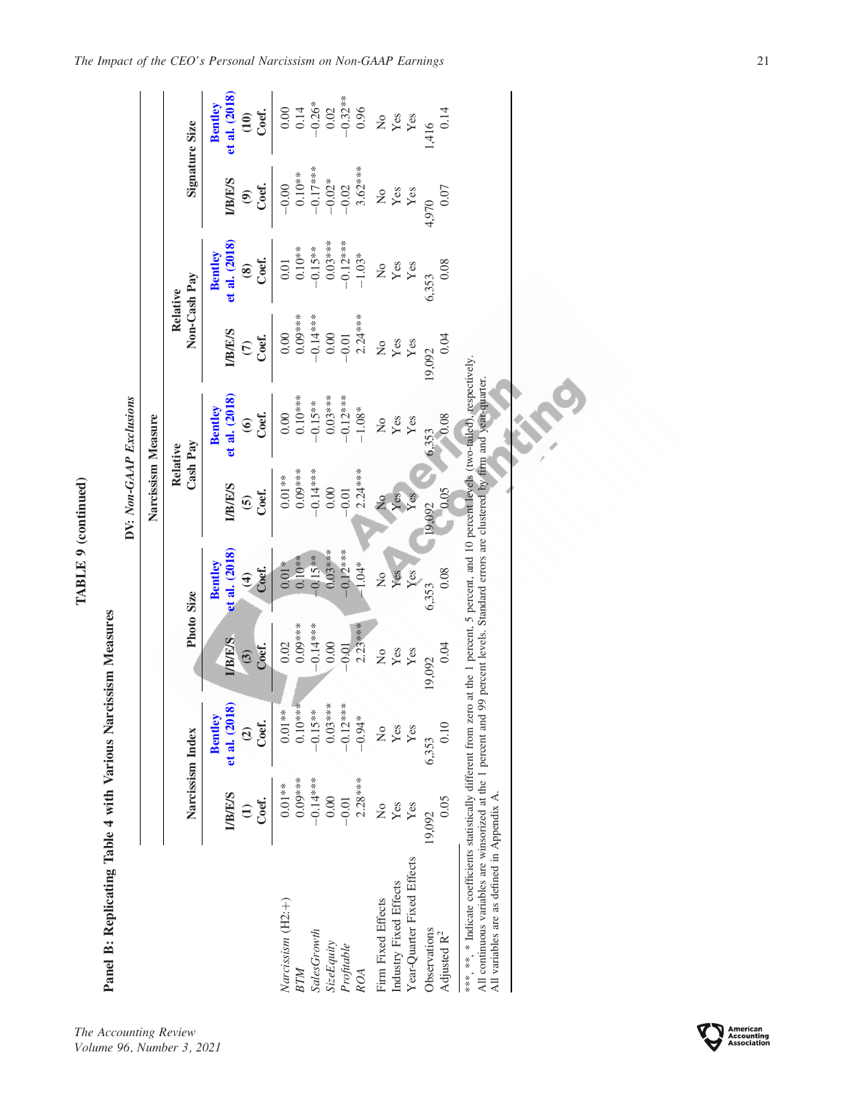TABLE 9 (continued) TABLE 9 (continued)

Panel B: Replicating Table 4 with Various Narcissism Measures Panel B: Replicating Table 4 with Various Narcissism Measures DV: Non-GAAP Exclusions DV: Non-GAAP Exclusions

|                                                                                                                                         |                                          |                                                           |                                    |                                                        | Narcissism Measure                                                            |                                                             |                                          |                                                           |                                                  |                                                    |
|-----------------------------------------------------------------------------------------------------------------------------------------|------------------------------------------|-----------------------------------------------------------|------------------------------------|--------------------------------------------------------|-------------------------------------------------------------------------------|-------------------------------------------------------------|------------------------------------------|-----------------------------------------------------------|--------------------------------------------------|----------------------------------------------------|
|                                                                                                                                         |                                          | Narcissism Index                                          | Photo Size                         |                                                        | Cash Pay<br>Relative                                                          |                                                             | Non-Cash Pay<br>Relative                 |                                                           | Signature Size                                   |                                                    |
|                                                                                                                                         | <b>I/B/E/S</b><br>Coef.<br>$\widehat{z}$ | et al. (2018)<br><b>Bentley</b><br>Coef.<br>$\widehat{c}$ | <b>I/B/E/S</b><br>Coef.<br>$\odot$ | et al. (2018<br>Bentley<br>$rac{\partial}{\partial x}$ | <b>I/B/E/S</b><br>Coef.<br>$\mathbf{e}$                                       | et al. (2018)<br>Bentley<br>Coef.<br>$\widehat{\mathbf{e}}$ | <b>I/B/E/S</b><br>Coef.<br>$\widehat{c}$ | et al. (2018)<br><b>Bentley</b><br>Coef.<br>$\circledast$ | <b>UB/E/S</b><br>Coef.<br>$\widehat{\mathbf{e}}$ | et al. (2018)<br>Bentley<br>Coef.<br>$\widehat{E}$ |
| Narcissism (H2:+)<br>BTM                                                                                                                | $0.09***$<br>$0.01**$                    | $0.10***$<br>$0.01**$                                     | $0.09***$<br>0.02                  | $0.10**$<br>$0.01*$                                    | $0.09***$<br>$0.01**$                                                         | $0.10***$<br>0.00                                           | $0.09***$<br>0.00                        | $0.10**$<br>$\overline{0}$ .                              | $0.10**$<br>$-0.00$                              | 0.14<br>$_{0.00}$                                  |
| SalesGrowth                                                                                                                             | $-0.14**$                                | $-0.15**$                                                 |                                    | $-0.15**$                                              | $-0.14**$                                                                     | $-0.15**$                                                   | $-0.14***$                               | $-0.15**$                                                 | $-0.17$ ***                                      |                                                    |
| <b>SizeEquity</b>                                                                                                                       | 0.00                                     | $0.03***$                                                 | $-0.14***$<br>0.00<br>$-0.01$      | $0.03***$                                              | 0.00                                                                          | $0.03***$                                                   | $0.00\,$                                 | $0.03***$                                                 | $-0.02*$                                         | $-0.26*$<br>0.02<br>$-0.32**$                      |
| Profitable                                                                                                                              | $-0.01$                                  | $-0.12***$                                                |                                    | $-0.12***$                                             | $-0.01$                                                                       | $-0.12***$                                                  | $-0.01$                                  | $-0.12***$                                                | $-0.02$                                          |                                                    |
| <b>ROA</b>                                                                                                                              | $2.28***$                                | $-0.94*$                                                  | $2.23***$                          | $-1.04*$                                               | $2.24***$                                                                     | $-1.08*$                                                    | $2.24***$                                | $-1.03*$                                                  | $3.62***$                                        | 0.96                                               |
| Firm Fixed Effects                                                                                                                      | $\frac{1}{2}$                            | $\frac{1}{2}$                                             | $\overline{\mathsf{z}}$            | $\frac{1}{2}$                                          | $\tilde{z}$                                                                   | $\frac{1}{2}$                                               | $\frac{1}{2}$                            | $\rm \stackrel{\circ}{\mathbf{Z}}$                        | $\frac{1}{2}$                                    | ż                                                  |
| Industry Fixed Effects                                                                                                                  | Yes                                      | Yes                                                       | Yes                                | Yes                                                    | Yes                                                                           | Yes                                                         | Yes                                      | Yes                                                       | Yes                                              |                                                    |
| Year-Quarter Fixed Effects                                                                                                              | Yes                                      | Yes                                                       | Yes                                | Yes                                                    | Yes                                                                           | Yes                                                         | Yes                                      | $\mathbf{Yes}$                                            | Yes                                              | Yes<br>Yes                                         |
| Observations<br>Adjusted R <sup>2</sup>                                                                                                 | 0.05<br>19,092                           | 0.10<br>6,353                                             | 0.04<br>19,092                     | 0.08<br>6,353                                          | 0.05<br>19,092                                                                | 0.08<br>6,353                                               | 0.04<br>19,092                           | 0.08<br>6,353                                             | 0.07<br>4,970                                    | 0.14<br>1,416                                      |
| ***, ** Indicate coefficients statistically different from zero                                                                         |                                          |                                                           |                                    |                                                        | at the 1 percent, 5 percent, and 10 percent levels (two-tailed), respectively |                                                             |                                          |                                                           |                                                  |                                                    |
| All continuous variables are winsprized at the 1 percent and 99 percent levels. Standard errors are clustered by firm and vear-quarter. |                                          |                                                           |                                    |                                                        |                                                                               |                                                             |                                          |                                                           |                                                  |                                                    |

All continuous variables are winsorized at the 1 percent and 99 percent levels. Standard errors are clustered by firm and year-quarter. ₹ λ 2  $\leq$ All variables are as defined in Appendix A. All variables are as defined in Appendix A.

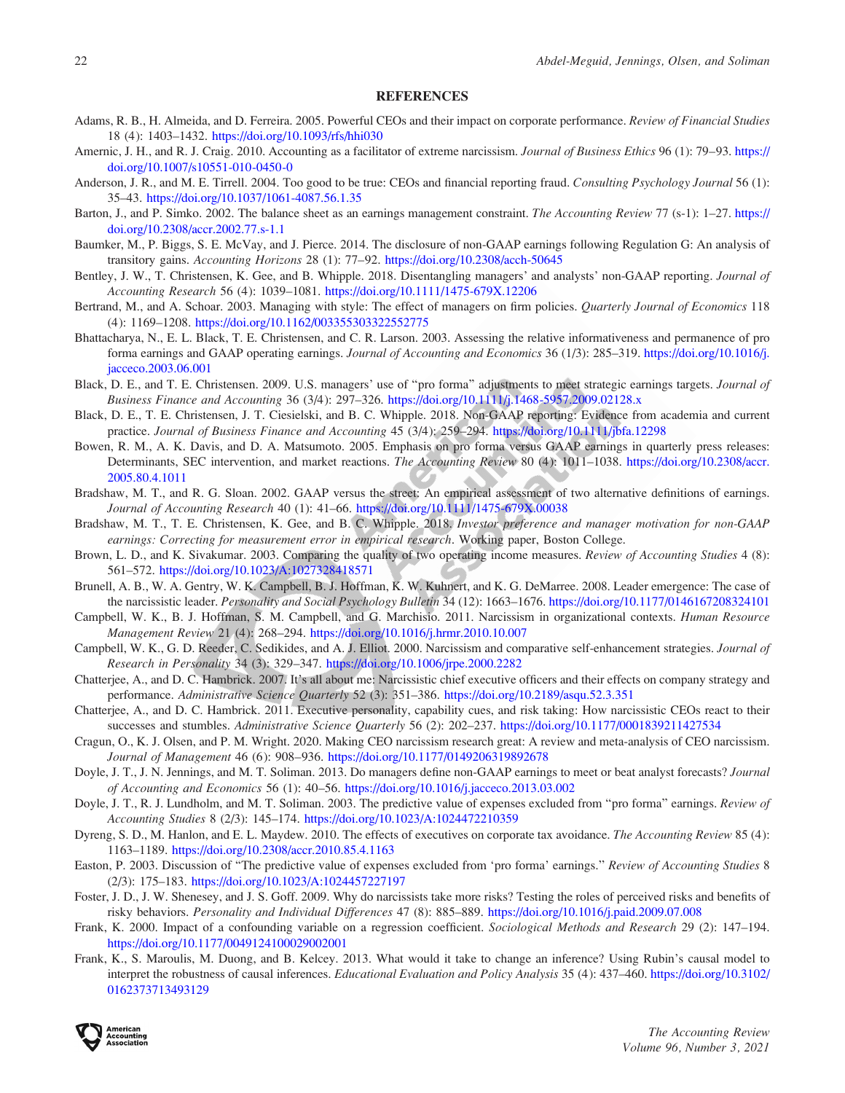## REFERENCES

- <span id="page-21-0"></span>Adams, R. B., H. Almeida, and D. Ferreira. 2005. Powerful CEOs and their impact on corporate performance. Review of Financial Studies 18 (4): 1403–1432. <https://doi.org/10.1093/rfs/hhi030>
- Amernic, J. H., and R. J. Craig. 2010. Accounting as a facilitator of extreme narcissism. Journal of Business Ethics 96 (1): 79–93. [https://](https://doi.org/10.1007/s10551-010-0450-0) [doi.org/10.1007/s10551-010-0450-0](https://doi.org/10.1007/s10551-010-0450-0)
- Anderson, J. R., and M. E. Tirrell. 2004. Too good to be true: CEOs and financial reporting fraud. Consulting Psychology Journal 56 (1): 35–43. <https://doi.org/10.1037/1061-4087.56.1.35>
- Barton, J., and P. Simko. 2002. The balance sheet as an earnings management constraint. The Accounting Review 77 (s-1): 1–27. [https://](https://doi.org/10.2308/accr.2002.77.s-1.1) [doi.org/10.2308/accr.2002.77.s-1.1](https://doi.org/10.2308/accr.2002.77.s-1.1)
- Baumker, M., P. Biggs, S. E. McVay, and J. Pierce. 2014. The disclosure of non-GAAP earnings following Regulation G: An analysis of transitory gains. Accounting Horizons 28 (1): 77–92. <https://doi.org/10.2308/acch-50645>
- Bentley, J. W., T. Christensen, K. Gee, and B. Whipple. 2018. Disentangling managers' and analysts' non-GAAP reporting. *Journal of* Accounting Research 56 (4): 1039–1081. <https://doi.org/10.1111/1475-679X.12206>
- Bertrand, M., and A. Schoar. 2003. Managing with style: The effect of managers on firm policies. *Quarterly Journal of Economics* 118 (4): 1169–1208. <https://doi.org/10.1162/003355303322552775>
- Bhattacharya, N., E. L. Black, T. E. Christensen, and C. R. Larson. 2003. Assessing the relative informativeness and permanence of pro forma earnings and GAAP operating earnings. Journal of Accounting and Economics 36 (1/3): 285–319. [https://doi.org/10.1016/j.](https://doi.org/10.1016/j.jacceco.2003.06.001) [jacceco.2003.06.001](https://doi.org/10.1016/j.jacceco.2003.06.001)
- Black, D. E., and T. E. Christensen. 2009. U.S. managers' use of "pro forma" adjustments to meet strategic earnings targets. Journal of Business Finance and Accounting 36 (3/4): 297–326. <https://doi.org/10.1111/j.1468-5957.2009.02128.x>
- Black, D. E., T. E. Christensen, J. T. Ciesielski, and B. C. Whipple. 2018. Non-GAAP reporting: Evidence from academia and current practice. Journal of Business Finance and Accounting 45 (3/4): 259–294. <https://doi.org/10.1111/jbfa.12298>
- Bowen, R. M., A. K. Davis, and D. A. Matsumoto. 2005. Emphasis on pro forma versus GAAP earnings in quarterly press releases: Determinants, SEC intervention, and market reactions. The Accounting Review 80 (4): 1011–1038. [https://doi.org/10.2308/accr.](https://doi.org/10.2308/accr.2005.80.4.1011) [2005.80.4.1011](https://doi.org/10.2308/accr.2005.80.4.1011)
- Bradshaw, M. T., and R. G. Sloan. 2002. GAAP versus the street: An empirical assessment of two alternative definitions of earnings. Journal of Accounting Research 40 (1): 41–66. <https://doi.org/10.1111/1475-679X.00038>
- Bradshaw, M. T., T. E. Christensen, K. Gee, and B. C. Whipple. 2018. Investor preference and manager motivation for non-GAAP earnings: Correcting for measurement error in empirical research. Working paper, Boston College.
- Brown, L. D., and K. Sivakumar. 2003. Comparing the quality of two operating income measures. Review of Accounting Studies 4 (8): 561–572. <https://doi.org/10.1023/A:1027328418571>
- Brunell, A. B., W. A. Gentry, W. K. Campbell, B. J. Hoffman, K. W. Kuhnert, and K. G. DeMarree. 2008. Leader emergence: The case of the narcissistic leader. Personality and Social Psychology Bulletin 34 (12): 1663–1676. <https://doi.org/10.1177/0146167208324101>
- Campbell, W. K., B. J. Hoffman, S. M. Campbell, and G. Marchisio. 2011. Narcissism in organizational contexts. Human Resource Management Review 21 (4): 268–294. <https://doi.org/10.1016/j.hrmr.2010.10.007>
- Campbell, W. K., G. D. Reeder, C. Sedikides, and A. J. Elliot. 2000. Narcissism and comparative self-enhancement strategies. Journal of Research in Personality 34 (3): 329–347. <https://doi.org/10.1006/jrpe.2000.2282>
- Chatterjee, A., and D. C. Hambrick. 2007. It's all about me: Narcissistic chief executive officers and their effects on company strategy and performance. Administrative Science Quarterly 52 (3): 351–386. <https://doi.org/10.2189/asqu.52.3.351>
- Chatterjee, A., and D. C. Hambrick. 2011. Executive personality, capability cues, and risk taking: How narcissistic CEOs react to their successes and stumbles. Administrative Science Quarterly 56 (2): 202-237. <https://doi.org/10.1177/0001839211427534>
- Cragun, O., K. J. Olsen, and P. M. Wright. 2020. Making CEO narcissism research great: A review and meta-analysis of CEO narcissism. Journal of Management 46 (6): 908–936. <https://doi.org/10.1177/0149206319892678>
- Doyle, J. T., J. N. Jennings, and M. T. Soliman. 2013. Do managers define non-GAAP earnings to meet or beat analyst forecasts? *Journal* of Accounting and Economics 56 (1): 40–56. <https://doi.org/10.1016/j.jacceco.2013.03.002>
- Doyle, J. T., R. J. Lundholm, and M. T. Soliman. 2003. The predictive value of expenses excluded from "pro forma" earnings. Review of Accounting Studies 8 (2/3): 145–174. <https://doi.org/10.1023/A:1024472210359>
- Dyreng, S. D., M. Hanlon, and E. L. Maydew. 2010. The effects of executives on corporate tax avoidance. The Accounting Review 85 (4): 1163–1189. <https://doi.org/10.2308/accr.2010.85.4.1163>
- Easton, P. 2003. Discussion of ''The predictive value of expenses excluded from 'pro forma' earnings.'' Review of Accounting Studies 8 (2/3): 175–183. <https://doi.org/10.1023/A:1024457227197>
- Foster, J. D., J. W. Shenesey, and J. S. Goff. 2009. Why do narcissists take more risks? Testing the roles of perceived risks and benefits of risky behaviors. Personality and Individual Differences 47 (8): 885–889. <https://doi.org/10.1016/j.paid.2009.07.008>
- Frank, K. 2000. Impact of a confounding variable on a regression coefficient. Sociological Methods and Research 29 (2): 147–194. <https://doi.org/10.1177/0049124100029002001>
- Frank, K., S. Maroulis, M. Duong, and B. Kelcey. 2013. What would it take to change an inference? Using Rubin's causal model to interpret the robustness of causal inferences. Educational Evaluation and Policy Analysis 35 (4): 437–460. [https://doi.org/10.3102/](https://doi.org/10.3102/0162373713493129) [0162373713493129](https://doi.org/10.3102/0162373713493129)

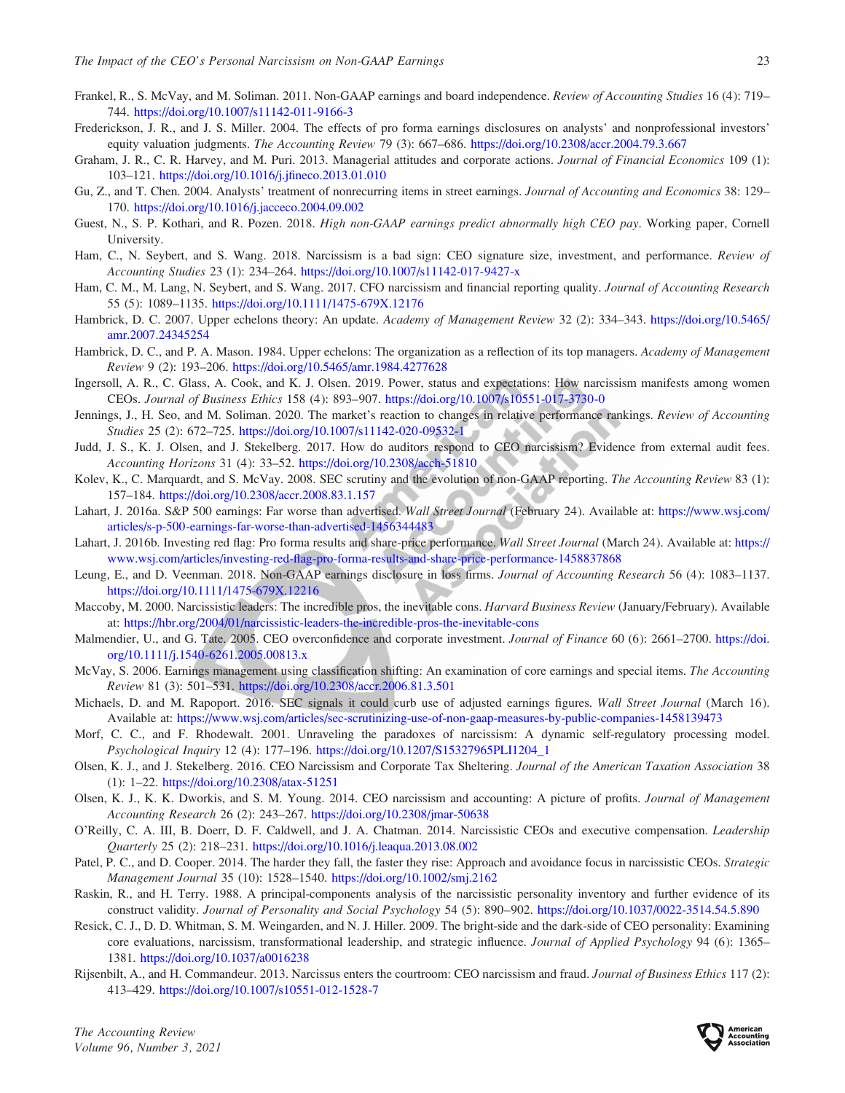- Frankel, R., S. McVay, and M. Soliman. 2011. Non-GAAP earnings and board independence. Review of Accounting Studies 16 (4): 719– 744. <https://doi.org/10.1007/s11142-011-9166-3>
- Frederickson, J. R., and J. S. Miller. 2004. The effects of pro forma earnings disclosures on analysts' and nonprofessional investors' equity valuation judgments. The Accounting Review 79 (3): 667–686. <https://doi.org/10.2308/accr.2004.79.3.667>
- Graham, J. R., C. R. Harvey, and M. Puri. 2013. Managerial attitudes and corporate actions. Journal of Financial Economics 109 (1): 103–121. <https://doi.org/10.1016/j.jfineco.2013.01.010>
- Gu, Z., and T. Chen. 2004. Analysts' treatment of nonrecurring items in street earnings. Journal of Accounting and Economics 38: 129– 170. <https://doi.org/10.1016/j.jacceco.2004.09.002>
- Guest, N., S. P. Kothari, and R. Pozen. 2018. High non-GAAP earnings predict abnormally high CEO pay. Working paper, Cornell University.
- Ham, C., N. Seybert, and S. Wang. 2018. Narcissism is a bad sign: CEO signature size, investment, and performance. Review of Accounting Studies 23 (1): 234–264. <https://doi.org/10.1007/s11142-017-9427-x>
- Ham, C. M., M. Lang, N. Seybert, and S. Wang. 2017. CFO narcissism and financial reporting quality. Journal of Accounting Research 55 (5): 1089–1135. <https://doi.org/10.1111/1475-679X.12176>
- Hambrick, D. C. 2007. Upper echelons theory: An update. Academy of Management Review 32 (2): 334–343. [https://doi.org/10.5465/](https://doi.org/10.5465/amr.2007.24345254) [amr.2007.24345254](https://doi.org/10.5465/amr.2007.24345254)
- Hambrick, D. C., and P. A. Mason. 1984. Upper echelons: The organization as a reflection of its top managers. Academy of Management Review 9 (2): 193–206. <https://doi.org/10.5465/amr.1984.4277628>
- Ingersoll, A. R., C. Glass, A. Cook, and K. J. Olsen. 2019. Power, status and expectations: How narcissism manifests among women CEOs. Journal of Business Ethics 158 (4): 893–907. <https://doi.org/10.1007/s10551-017-3730-0>
- Jennings, J., H. Seo, and M. Soliman. 2020. The market's reaction to changes in relative performance rankings. Review of Accounting Studies 25 (2): 672–725. <https://doi.org/10.1007/s11142-020-09532-1>
- Judd, J. S., K. J. Olsen, and J. Stekelberg. 2017. How do auditors respond to CEO narcissism? Evidence from external audit fees. Accounting Horizons 31 (4): 33–52. <https://doi.org/10.2308/acch-51810>
- Kolev, K., C. Marquardt, and S. McVay. 2008. SEC scrutiny and the evolution of non-GAAP reporting. The Accounting Review 83 (1): 157–184. <https://doi.org/10.2308/accr.2008.83.1.157>
- Lahart, J. 2016a. S&P 500 earnings: Far worse than advertised. Wall Street Journal (February 24). Available at: [https://www.wsj.com/](https://www.wsj.com/articles/s-p-500-earnings-far-worse-than-advertised-1456344483) [articles/s-p-500-earnings-far-worse-than-advertised-1456344483](https://www.wsj.com/articles/s-p-500-earnings-far-worse-than-advertised-1456344483)
- Lahart, J. 2016b. Investing red flag: Pro forma results and share-price performance. Wall Street Journal (March 24). Available at: [https://](https://www.wsj.com/articles/investing-red-flag-pro-forma-results-and-share-price-performance-1458837868) [www.wsj.com/articles/investing-red-flag-pro-forma-results-and-share-price-performance-1458837868](https://www.wsj.com/articles/investing-red-flag-pro-forma-results-and-share-price-performance-1458837868)
- Leung, E., and D. Veenman. 2018. Non-GAAP earnings disclosure in loss firms. Journal of Accounting Research 56 (4): 1083–1137. <https://doi.org/10.1111/1475-679X.12216>
- Maccoby, M. 2000. Narcissistic leaders: The incredible pros, the inevitable cons. Harvard Business Review (January/February). Available at: <https://hbr.org/2004/01/narcissistic-leaders-the-incredible-pros-the-inevitable-cons>
- Malmendier, U., and G. Tate. 2005. CEO overconfidence and corporate investment. Journal of Finance 60 (6): 2661-2700. [https://doi.](https://doi.org/10.1111/j.1540-6261.2005.00813.x) [org/10.1111/j.1540-6261.2005.00813.x](https://doi.org/10.1111/j.1540-6261.2005.00813.x)
- McVay, S. 2006. Earnings management using classification shifting: An examination of core earnings and special items. The Accounting Review 81 (3): 501–531. <https://doi.org/10.2308/accr.2006.81.3.501>
- Michaels, D. and M. Rapoport. 2016. SEC signals it could curb use of adjusted earnings figures. Wall Street Journal (March 16). Available at: <https://www.wsj.com/articles/sec-scrutinizing-use-of-non-gaap-measures-by-public-companies-1458139473>
- Morf, C. C., and F. Rhodewalt. 2001. Unraveling the paradoxes of narcissism: A dynamic self-regulatory processing model. Psychological Inquiry 12 (4): 177–196. [https://doi.org/10.1207/S15327965PLI1204\\_1](https://doi.org/10.1207/S15327965PLI1204_1)
- Olsen, K. J., and J. Stekelberg. 2016. CEO Narcissism and Corporate Tax Sheltering. Journal of the American Taxation Association 38 (1): 1–22. <https://doi.org/10.2308/atax-51251>
- Olsen, K. J., K. K. Dworkis, and S. M. Young. 2014. CEO narcissism and accounting: A picture of profits. Journal of Management Accounting Research 26 (2): 243–267. <https://doi.org/10.2308/jmar-50638>
- O'Reilly, C. A. III, B. Doerr, D. F. Caldwell, and J. A. Chatman. 2014. Narcissistic CEOs and executive compensation. Leadership Quarterly 25 (2): 218–231. <https://doi.org/10.1016/j.leaqua.2013.08.002>
- Patel, P. C., and D. Cooper. 2014. The harder they fall, the faster they rise: Approach and avoidance focus in narcissistic CEOs. Strategic Management Journal 35 (10): 1528–1540. <https://doi.org/10.1002/smj.2162>
- Raskin, R., and H. Terry. 1988. A principal-components analysis of the narcissistic personality inventory and further evidence of its construct validity. Journal of Personality and Social Psychology 54 (5): 890–902. <https://doi.org/10.1037/0022-3514.54.5.890>
- Resick, C. J., D. D. Whitman, S. M. Weingarden, and N. J. Hiller. 2009. The bright-side and the dark-side of CEO personality: Examining core evaluations, narcissism, transformational leadership, and strategic influence. Journal of Applied Psychology 94 (6): 1365– 1381. <https://doi.org/10.1037/a0016238>
- Rijsenbilt, A., and H. Commandeur. 2013. Narcissus enters the courtroom: CEO narcissism and fraud. Journal of Business Ethics 117 (2): 413–429. <https://doi.org/10.1007/s10551-012-1528-7>

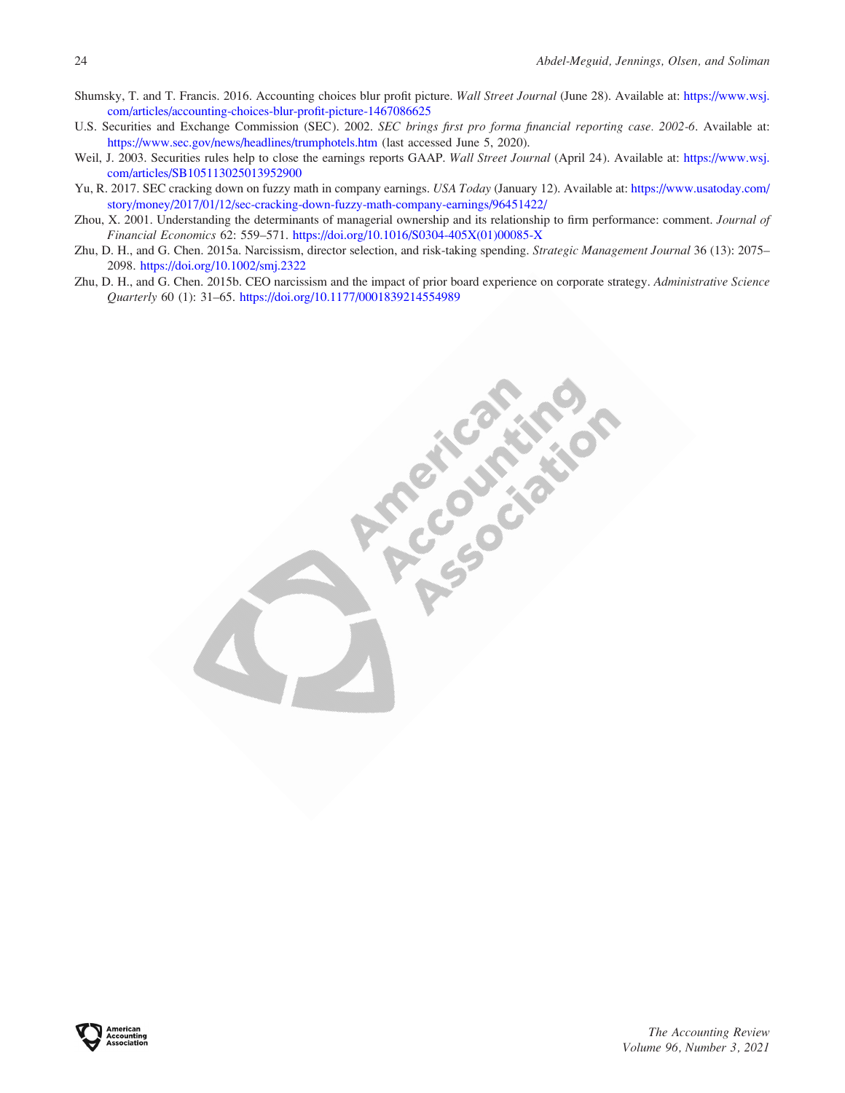- Shumsky, T. and T. Francis. 2016. Accounting choices blur profit picture. Wall Street Journal (June 28). Available at: [https://www.wsj.](https://www.wsj.com/articles/accounting-choices-blur-profit-picture-1467086625) [com/articles/accounting-choices-blur-profit-picture-1467086625](https://www.wsj.com/articles/accounting-choices-blur-profit-picture-1467086625)
- U.S. Securities and Exchange Commission (SEC). 2002. SEC brings first pro forma financial reporting case. 2002-6. Available at: <https://www.sec.gov/news/headlines/trumphotels.htm> (last accessed June 5, 2020).
- Weil, J. 2003. Securities rules help to close the earnings reports GAAP. Wall Street Journal (April 24). Available at: [https://www.wsj.](https://www.wsj.com/articles/SB105113025013952900) [com/articles/SB105113025013952900](https://www.wsj.com/articles/SB105113025013952900)
- Yu, R. 2017. SEC cracking down on fuzzy math in company earnings. USA Today (January 12). Available at: [https://www.usatoday.com/](https://www.usatoday.com/story/money/2017/01/12/sec-cracking-down-fuzzy-math-company-earnings/96451422/) [story/money/2017/01/12/sec-cracking-down-fuzzy-math-company-earnings/96451422/](https://www.usatoday.com/story/money/2017/01/12/sec-cracking-down-fuzzy-math-company-earnings/96451422/)
- Zhou, X. 2001. Understanding the determinants of managerial ownership and its relationship to firm performance: comment. Journal of Financial Economics 62: 559–571. [https://doi.org/10.1016/S0304-405X\(01\)00085-X](https://doi.org/10.1016/S0304-405X(01)00085-X)
- Zhu, D. H., and G. Chen. 2015a. Narcissism, director selection, and risk-taking spending. Strategic Management Journal 36 (13): 2075– 2098. <https://doi.org/10.1002/smj.2322>
- Zhu, D. H., and G. Chen. 2015b. CEO narcissism and the impact of prior board experience on corporate strategy. Administrative Science Quarterly 60 (1): 31–65. <https://doi.org/10.1177/0001839214554989>

**Propriet SILES**